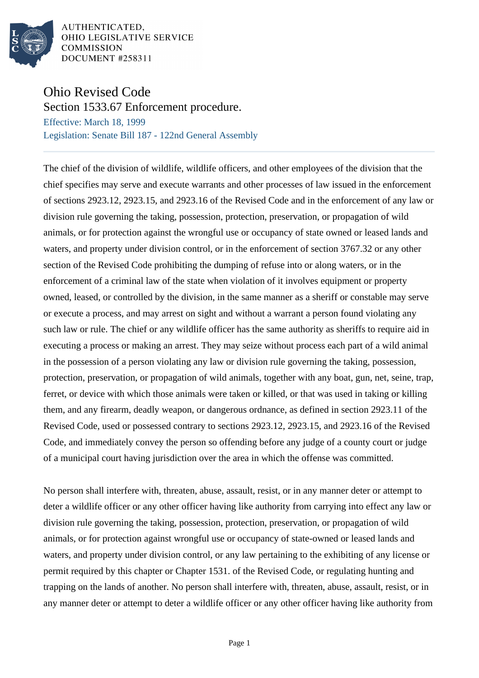

AUTHENTICATED, OHIO LEGISLATIVE SERVICE **COMMISSION** DOCUMENT #258311

## Ohio Revised Code

Section 1533.67 Enforcement procedure. Effective: March 18, 1999

Legislation: Senate Bill 187 - 122nd General Assembly

The chief of the division of wildlife, wildlife officers, and other employees of the division that the chief specifies may serve and execute warrants and other processes of law issued in the enforcement of sections 2923.12, 2923.15, and 2923.16 of the Revised Code and in the enforcement of any law or division rule governing the taking, possession, protection, preservation, or propagation of wild animals, or for protection against the wrongful use or occupancy of state owned or leased lands and waters, and property under division control, or in the enforcement of section 3767.32 or any other section of the Revised Code prohibiting the dumping of refuse into or along waters, or in the enforcement of a criminal law of the state when violation of it involves equipment or property owned, leased, or controlled by the division, in the same manner as a sheriff or constable may serve or execute a process, and may arrest on sight and without a warrant a person found violating any such law or rule. The chief or any wildlife officer has the same authority as sheriffs to require aid in executing a process or making an arrest. They may seize without process each part of a wild animal in the possession of a person violating any law or division rule governing the taking, possession, protection, preservation, or propagation of wild animals, together with any boat, gun, net, seine, trap, ferret, or device with which those animals were taken or killed, or that was used in taking or killing them, and any firearm, deadly weapon, or dangerous ordnance, as defined in section 2923.11 of the Revised Code, used or possessed contrary to sections 2923.12, 2923.15, and 2923.16 of the Revised Code, and immediately convey the person so offending before any judge of a county court or judge of a municipal court having jurisdiction over the area in which the offense was committed.

No person shall interfere with, threaten, abuse, assault, resist, or in any manner deter or attempt to deter a wildlife officer or any other officer having like authority from carrying into effect any law or division rule governing the taking, possession, protection, preservation, or propagation of wild animals, or for protection against wrongful use or occupancy of state-owned or leased lands and waters, and property under division control, or any law pertaining to the exhibiting of any license or permit required by this chapter or Chapter 1531. of the Revised Code, or regulating hunting and trapping on the lands of another. No person shall interfere with, threaten, abuse, assault, resist, or in any manner deter or attempt to deter a wildlife officer or any other officer having like authority from